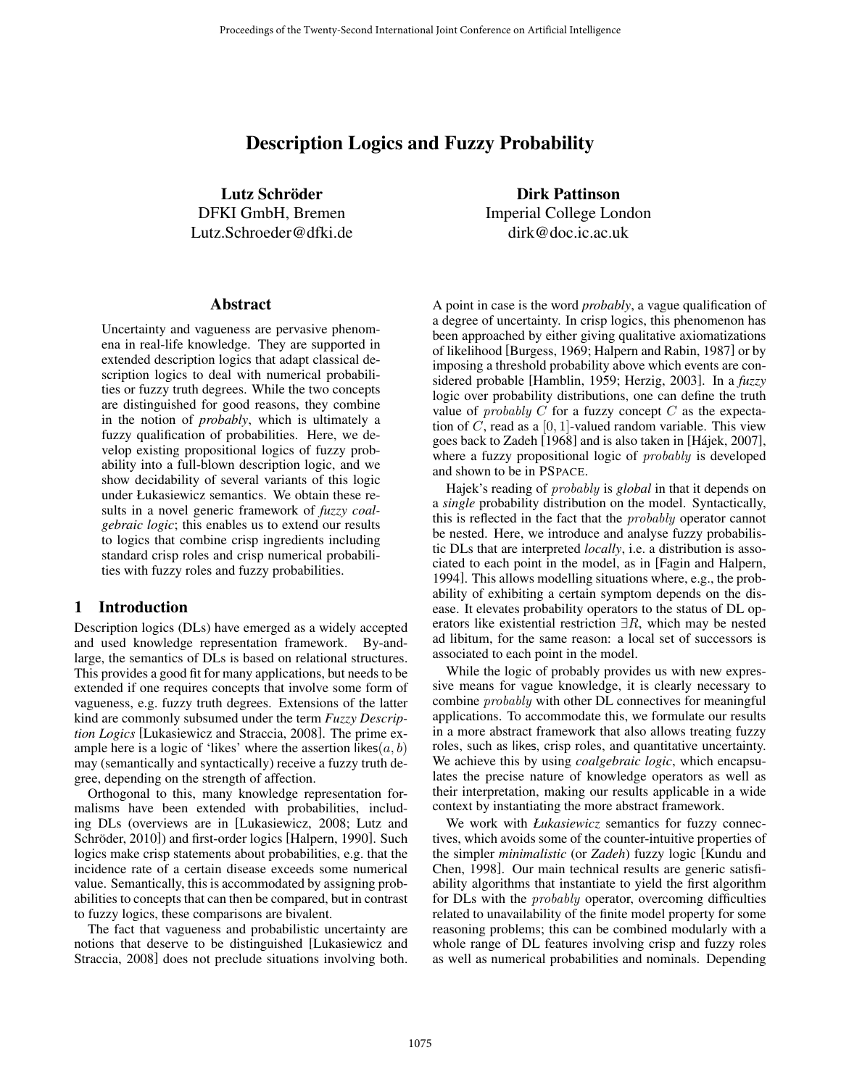# Description Logics and Fuzzy Probability

Lutz Schröder DFKI GmbH, Bremen Lutz.Schroeder@dfki.de

#### **Abstract**

Uncertainty and vagueness are pervasive phenomena in real-life knowledge. They are supported in extended description logics that adapt classical description logics to deal with numerical probabilities or fuzzy truth degrees. While the two concepts are distinguished for good reasons, they combine in the notion of *probably*, which is ultimately a fuzzy qualification of probabilities. Here, we develop existing propositional logics of fuzzy probability into a full-blown description logic, and we show decidability of several variants of this logic under Łukasiewicz semantics. We obtain these results in a novel generic framework of *fuzzy coalgebraic logic*; this enables us to extend our results to logics that combine crisp ingredients including standard crisp roles and crisp numerical probabilities with fuzzy roles and fuzzy probabilities.

## 1 Introduction

Description logics (DLs) have emerged as a widely accepted and used knowledge representation framework. By-andlarge, the semantics of DLs is based on relational structures. This provides a good fit for many applications, but needs to be extended if one requires concepts that involve some form of vagueness, e.g. fuzzy truth degrees. Extensions of the latter kind are commonly subsumed under the term *Fuzzy Description Logics* [Lukasiewicz and Straccia, 2008]. The prime example here is a logic of 'likes' where the assertion likes $(a, b)$ may (semantically and syntactically) receive a fuzzy truth degree, depending on the strength of affection.

Orthogonal to this, many knowledge representation formalisms have been extended with probabilities, including DLs (overviews are in [Lukasiewicz, 2008; Lutz and Schröder, 2010]) and first-order logics [Halpern, 1990]. Such logics make crisp statements about probabilities, e.g. that the incidence rate of a certain disease exceeds some numerical value. Semantically, this is accommodated by assigning probabilities to concepts that can then be compared, but in contrast to fuzzy logics, these comparisons are bivalent.

The fact that vagueness and probabilistic uncertainty are notions that deserve to be distinguished [Lukasiewicz and Straccia, 2008] does not preclude situations involving both. Dirk Pattinson

Imperial College London dirk@doc.ic.ac.uk

A point in case is the word *probably*, a vague qualification of a degree of uncertainty. In crisp logics, this phenomenon has been approached by either giving qualitative axiomatizations of likelihood [Burgess, 1969; Halpern and Rabin, 1987] or by imposing a threshold probability above which events are considered probable [Hamblin, 1959; Herzig, 2003]. In a *fuzzy* logic over probability distributions, one can define the truth value of *probably* C for a fuzzy concept C as the expectation of C, read as a  $[0, 1]$ -valued random variable. This view goes back to Zadeh  $[1968]$  and is also taken in [Hajek, 2007], where a fuzzy propositional logic of *probably* is developed and shown to be in PSPACE.

Hajek's reading of *probably* is *global* in that it depends on a *single* probability distribution on the model. Syntactically, this is reflected in the fact that the *probably* operator cannot be nested. Here, we introduce and analyse fuzzy probabilistic DLs that are interpreted *locally*, i.e. a distribution is associated to each point in the model, as in [Fagin and Halpern, 1994]. This allows modelling situations where, e.g., the probability of exhibiting a certain symptom depends on the disease. It elevates probability operators to the status of DL operators like existential restriction  $\exists R$ , which may be nested ad libitum, for the same reason: a local set of successors is associated to each point in the model.

While the logic of probably provides us with new expressive means for vague knowledge, it is clearly necessary to combine *probably* with other DL connectives for meaningful applications. To accommodate this, we formulate our results in a more abstract framework that also allows treating fuzzy roles, such as likes, crisp roles, and quantitative uncertainty. We achieve this by using *coalgebraic logic*, which encapsulates the precise nature of knowledge operators as well as their interpretation, making our results applicable in a wide context by instantiating the more abstract framework.

We work with *Łukasiewicz* semantics for fuzzy connectives, which avoids some of the counter-intuitive properties of the simpler *minimalistic* (or *Zadeh*) fuzzy logic [Kundu and Chen, 1998]. Our main technical results are generic satisfiability algorithms that instantiate to yield the first algorithm for DLs with the *probably* operator, overcoming difficulties related to unavailability of the finite model property for some reasoning problems; this can be combined modularly with a whole range of DL features involving crisp and fuzzy roles as well as numerical probabilities and nominals. Depending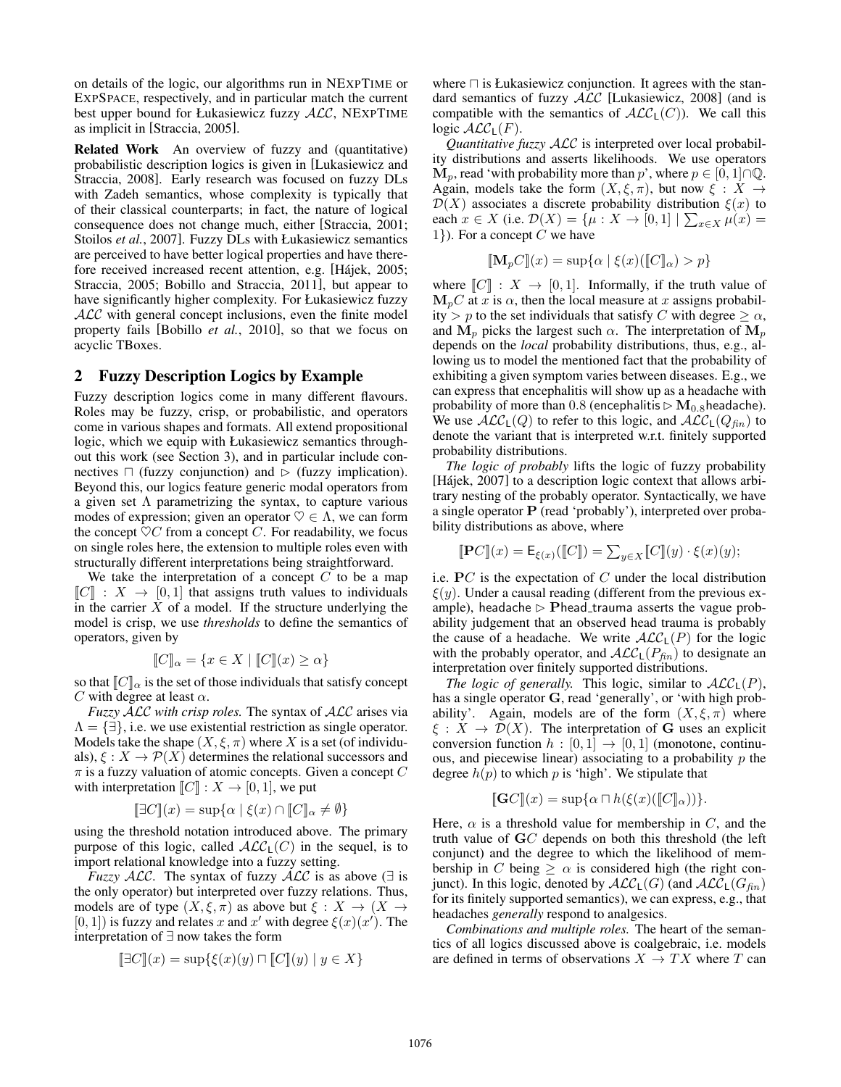on details of the logic, our algorithms run in NEXPTIME or EXPSPACE, respectively, and in particular match the current best upper bound for Łukasiewicz fuzzy  $ALC$ , NEXPTIME as implicit in [Straccia, 2005].

Related Work An overview of fuzzy and (quantitative) probabilistic description logics is given in [Lukasiewicz and Straccia, 2008]. Early research was focused on fuzzy DLs with Zadeh semantics, whose complexity is typically that of their classical counterparts; in fact, the nature of logical consequence does not change much, either [Straccia, 2001; Stoilos *et al.*, 2007]. Fuzzy DLs with Łukasiewicz semantics are perceived to have better logical properties and have therefore received increased recent attention, e.g. [Hájek, 2005; Straccia, 2005; Bobillo and Straccia, 2011], but appear to have significantly higher complexity. For Łukasiewicz fuzzy ALC with general concept inclusions, even the finite model property fails [Bobillo *et al.*, 2010], so that we focus on acyclic TBoxes.

## 2 Fuzzy Description Logics by Example

Fuzzy description logics come in many different flavours. Roles may be fuzzy, crisp, or probabilistic, and operators come in various shapes and formats. All extend propositional logic, which we equip with Łukasiewicz semantics throughout this work (see Section 3), and in particular include connectives  $\Box$  (fuzzy conjunction) and  $\triangleright$  (fuzzy implication). Beyond this, our logics feature generic modal operators from a given set  $\Lambda$  parametrizing the syntax, to capture various modes of expression; given an operator  $\heartsuit \in \Lambda$ , we can form the concept  $\heartsuit C$  from a concept C. For readability, we focus on single roles here, the extension to multiple roles even with structurally different interpretations being straightforward.

We take the interpretation of a concept  $C$  to be a map  $\llbracket C \rrbracket$  :  $X \rightarrow [0,1]$  that assigns truth values to individuals in the carrier  $X$  of a model. If the structure underlying the model is crisp, we use *thresholds* to define the semantics of operators, given by

$$
[\![C]\!]_{\alpha} = \{ x \in X \mid [\![C]\!](x) \ge \alpha \}
$$

so that  $\llbracket C \rrbracket_{\alpha}$  is the set of those individuals that satisfy concept C with degree at least  $\alpha$ .

*Fuzzy* ALC *with crisp roles.* The syntax of ALC arises via  $\Lambda = \{\exists\},\$ i.e. we use existential restriction as single operator. Models take the shape  $(X, \xi, \pi)$  where X is a set (of individuals),  $\xi: X \to \mathcal{P}(X)$  determines the relational successors and  $\pi$  is a fuzzy valuation of atomic concepts. Given a concept  $C$ with interpretation  $\llbracket C \rrbracket : X \to [0,1]$ , we put

$$
\llbracket \exists C \rrbracket(x) = \sup\{\alpha \mid \xi(x) \cap \llbracket C \rrbracket_{\alpha} \neq \emptyset\}
$$

using the threshold notation introduced above. The primary purpose of this logic, called  $\mathcal{ALC}_1(C)$  in the sequel, is to import relational knowledge into a fuzzy setting.

*Fuzzy* ALC. The syntax of fuzzy ALC is as above  $(\exists$  is the only operator) but interpreted over fuzzy relations. Thus, models are of type  $(X, \xi, \pi)$  as above but  $\xi : X \to (X \to \pi)$ [0, 1]) is fuzzy and relates x and x' with degree  $\xi(x)(x')$ . The interpretation of ∃ now takes the form

$$
\llbracket \exists C \rrbracket(x) = \sup\{\xi(x)(y) \sqcap \llbracket C \rrbracket(y) \mid y \in X\}
$$

where  $\Box$  is Łukasiewicz conjunction. It agrees with the standard semantics of fuzzy ALC [Lukasiewicz, 2008] (and is compatible with the semantics of  $ALC<sub>L</sub>(C)$ ). We call this logic  $\mathcal{ALC}_L(F)$ .

*Quantitative fuzzy* ALC is interpreted over local probability distributions and asserts likelihoods. We use operators  $\mathbf{M}_p$ , read 'with probability more than p', where  $p \in [0, 1] \cap \mathbb{Q}$ . Again, models take the form  $(X, \xi, \pi)$ , but now  $\xi : X \to$  $\mathcal{D}(X)$  associates a discrete probability distribution  $\xi(x)$  to each  $x \in X$  (i.e.  $\mathcal{D}(X) = \{ \mu : X \to [0,1] \mid \sum_{x \in X} \mu(x) =$ 1. For a concept C we have

$$
[\![\mathbf{M}_p C]\!](x) = \sup \{ \alpha \mid \xi(x) (\llbracket C \rrbracket_\alpha) > p \}
$$

where  $\llbracket C \rrbracket : X \to [0, 1]$ . Informally, if the truth value of  $M_pC$  at x is  $\alpha$ , then the local measure at x assigns probability > p to the set individuals that satisfy C with degree  $\geq \alpha$ , and  $M_p$  picks the largest such  $\alpha$ . The interpretation of  $M_p$ depends on the *local* probability distributions, thus, e.g., allowing us to model the mentioned fact that the probability of exhibiting a given symptom varies between diseases. E.g., we can express that encephalitis will show up as a headache with probability of more than  $0.8$  (encephalitis  $\triangleright M_{0.8}$  headache). We use  $\mathcal{ALC}_{\mathsf{L}}(Q)$  to refer to this logic, and  $\mathcal{ALC}_{\mathsf{L}}(Q_{fin})$  to denote the variant that is interpreted w.r.t. finitely supported probability distributions.

*The logic of probably* lifts the logic of fuzzy probability [Hájek, 2007] to a description logic context that allows arbitrary nesting of the probably operator. Syntactically, we have a single operator **P** (read 'probably'), interpreted over probability distributions as above, where

$$
[\![\mathbf{P}C]\!](x) = \mathsf{E}_{\xi(x)}([\![C]\!]) = \sum_{y \in X} [\![C]\!](y) \cdot \xi(x)(y);
$$

i.e. **P**C is the expectation of C under the local distribution  $\xi(y)$ . Under a causal reading (different from the previous example), headache  $\triangleright$  **P**head trauma asserts the vague probability judgement that an observed head trauma is probably the cause of a headache. We write  $ALC_{L}(P)$  for the logic with the probably operator, and  $\mathcal{ALC}_L(P_{fin})$  to designate an interpretation over finitely supported distributions.

*The logic of generally.* This logic, similar to  $ALC<sub>L</sub>(P)$ , has a single operator **G**, read 'generally', or 'with high probability'. Again, models are of the form  $(X, \xi, \pi)$  where  $\xi : X \to \mathcal{D}(X)$ . The interpretation of **G** uses an explicit conversion function  $h : [0, 1] \rightarrow [0, 1]$  (monotone, continuous, and piecewise linear) associating to a probability  $p$  the degree  $h(p)$  to which p is 'high'. We stipulate that

$$
[\![\mathbf{G} C]\!](x) = \sup\{\alpha \sqcap h(\xi(x)([\![C]\!]_\alpha))\}.
$$

Here,  $\alpha$  is a threshold value for membership in C, and the truth value of **G**C depends on both this threshold (the left conjunct) and the degree to which the likelihood of membership in C being  $\geq \alpha$  is considered high (the right conjunct). In this logic, denoted by  $\mathcal{ALC}_L(G)$  (and  $\mathcal{ALC}_L(G_{fin})$ for its finitely supported semantics), we can express, e.g., that headaches *generally* respond to analgesics.

*Combinations and multiple roles.* The heart of the semantics of all logics discussed above is coalgebraic, i.e. models are defined in terms of observations  $X \to TX$  where T can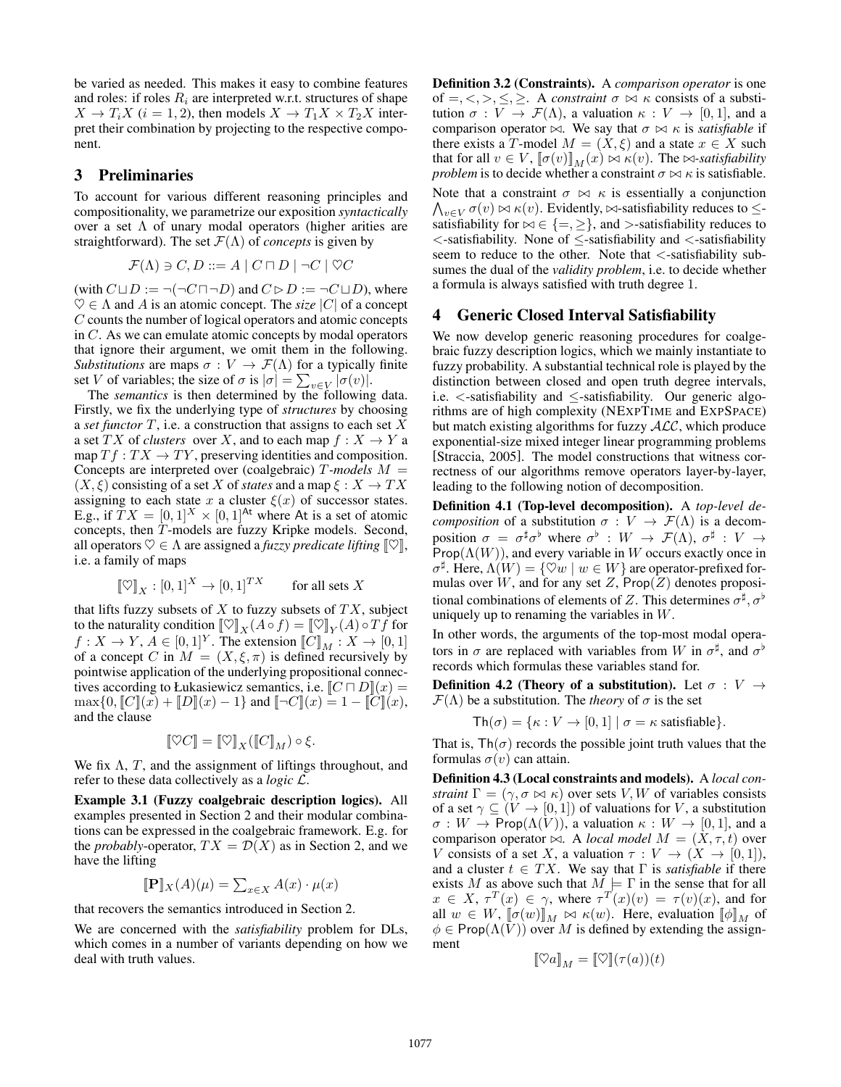be varied as needed. This makes it easy to combine features and roles: if roles  $R_i$  are interpreted w.r.t. structures of shape  $X \to T_i X$  ( $i = 1, 2$ ), then models  $X \to T_1 X \times T_2 X$  interpret their combination by projecting to the respective component.

## 3 Preliminaries

To account for various different reasoning principles and compositionality, we parametrize our exposition *syntactically* over a set  $\Lambda$  of unary modal operators (higher arities are straightforward). The set  $\mathcal{F}(\Lambda)$  of *concepts* is given by

$$
\mathcal{F}(\Lambda)\ni C,D::=A\mid C\sqcap D\mid \neg C\mid \heartsuit C
$$

(with  $C \sqcup D := \neg(\neg C \sqcap \neg D)$  and  $C \triangleright D := \neg C \sqcup D$ ), where  $\heartsuit \in \Lambda$  and A is an atomic concept. The *size* |C| of a concept C counts the number of logical operators and atomic concepts in C. As we can emulate atomic concepts by modal operators that ignore their argument, we omit them in the following. *Substitutions* are maps  $\sigma : V \to \mathcal{F}(\Lambda)$  for a typically finite set V of variables; the size of  $\sigma$  is  $|\sigma| = \sum_{v \in V} |\sigma(v)|$ .

The *semantics* is then determined by the following data. Firstly, we fix the underlying type of *structures* by choosing a *set functor* T, i.e. a construction that assigns to each set X a set TX of *clusters* over X, and to each map  $f: X \to Y$  a map  $Tf: TX \to TY$ , preserving identities and composition. Concepts are interpreted over (coalgebraic) T*-models* M =  $(X, \xi)$  consisting of a set X of *states* and a map  $\xi : X \to TX$ assigning to each state x a cluster  $\xi(x)$  of successor states. E.g., if  $TX = [0,1]^X \times [0,1]^{\text{At}}$  where At is a set of atomic concepts, then T-models are fuzzy Kripke models. Second, all operators  $\heartsuit \in \Lambda$  are assigned a *fuzzy predicate lifting*  $[\heartsuit]$ , i.e. a family of maps

$$
[\![ \heartsuit ]\!]_X:[0,1]^X \to [0,1]^{TX} \qquad \text{for all sets } X
$$

that lifts fuzzy subsets of  $X$  to fuzzy subsets of  $TX$ , subject to the naturality condition  $[\![\heartsuit]\!]_X(A \circ f) = [\![\heartsuit]\!]_Y(A) \circ Tf$  for  $f: X \to Y$ ,  $A \in [0,1]^Y$ . The extension  $\llbracket C \rrbracket_M : X \to [0,1]$ of a concept C in  $M = (X, \xi, \pi)$  is defined recursively by pointwise application of the underlying propositional connectives according to Łukasiewicz semantics, i.e.  $\llbracket C \sqcap D \rrbracket(x) =$  $\max\{0, [C](x) + [D](x) - 1\}$  and  $[-C](x) = 1 - [C](x)$ , and the clause

$$
[\![\heartsuit C]\!] = [\![\heartsuit]\!]_X ([\![C]\!]_M) \circ \xi.
$$

We fix  $\Lambda$ , T, and the assignment of liftings throughout, and refer to these data collectively as a *logic* L.

Example 3.1 (Fuzzy coalgebraic description logics). All examples presented in Section 2 and their modular combinations can be expressed in the coalgebraic framework. E.g. for the *probably*-operator,  $TX = \mathcal{D}(X)$  as in Section 2, and we have the lifting

$$
[\![\mathbf{P}]\!]_X(A)(\mu) = \sum_{x \in X} A(x) \cdot \mu(x)
$$

that recovers the semantics introduced in Section 2.

We are concerned with the *satisfiability* problem for DLs, which comes in a number of variants depending on how we deal with truth values.

Definition 3.2 (Constraints). A *comparison operator* is one of  $=, \leq, \geq, \leq, \geq$ . A *constraint*  $\sigma \bowtie \kappa$  consists of a substitution  $\sigma: V \to \mathcal{F}(\Lambda)$ , a valuation  $\kappa: V \to [0,1]$ , and a comparison operator  $\bowtie$ . We say that  $\sigma \bowtie \kappa$  is *satisfiable* if there exists a T-model  $M = (X, \xi)$  and a state  $x \in X$  such that for all  $v \in V$ ,  $\llbracket \sigma(v) \rrbracket_M(x) \bowtie \kappa(v)$ . The  $\bowtie$ -satisfiability *problem* is to decide whether a constraint  $\sigma \bowtie \kappa$  is satisfiable.

Note that a constraint  $\sigma \bowtie \kappa$  is essentially a conjunction  $\bigwedge_{v\in V}\sigma(v)\bowtie\kappa(v)$ . Evidently,  $\bowtie$ -satisfiability reduces to  $\leq$ satisfiability for  $\bowtie \in \{ =, \geq \}$ , and  $>$ -satisfiability reduces to <sup>&</sup>lt;-satisfiability. None of <sup>≤</sup>-satisfiability and <sup>&</sup>lt;-satisfiability seem to reduce to the other. Note that <-satisfiability subsumes the dual of the *validity problem*, i.e. to decide whether a formula is always satisfied with truth degree 1.

# 4 Generic Closed Interval Satisfiability

We now develop generic reasoning procedures for coalgebraic fuzzy description logics, which we mainly instantiate to fuzzy probability. A substantial technical role is played by the distinction between closed and open truth degree intervals, i.e.  $\lt$ -satisfiability and  $\le$ -satisfiability. Our generic algorithms are of high complexity (NEXPTIME and EXPSPACE) but match existing algorithms for fuzzy  $ALC$ , which produce exponential-size mixed integer linear programming problems [Straccia, 2005]. The model constructions that witness correctness of our algorithms remove operators layer-by-layer, leading to the following notion of decomposition.

Definition 4.1 (Top-level decomposition). A *top-level decomposition* of a substitution  $\sigma : V \to \mathcal{F}(\Lambda)$  is a decomposition  $\sigma = \sigma^{\sharp} \sigma^{\flat}$  where  $\sigma^{\flat} : W \to \mathcal{F}(\Lambda)$ ,  $\sigma^{\sharp} : V \to$ Prop $(\Lambda(W))$ , and every variable in W occurs exactly once in  $\sigma^{\sharp}$ . Here,  $\Lambda(W) = \{ \heartsuit w \mid w \in W \}$  are operator-prefixed formulas over W, and for any set Z,  $Prop(Z)$  denotes propositional combinations of elements of Z. This determines  $\sigma^{\sharp}, \sigma^{\flat}$ uniquely up to renaming the variables in  $W$ .

In other words, the arguments of the top-most modal operators in  $\sigma$  are replaced with variables from W in  $\sigma^{\sharp}$ , and  $\sigma^{\flat}$ records which formulas these variables stand for.

Definition 4.2 (Theory of a substitution). Let  $\sigma : V \rightarrow$  $\mathcal{F}(\Lambda)$  be a substitution. The *theory* of  $\sigma$  is the set

$$
\mathsf{Th}(\sigma) = \{\kappa: V \to [0,1] \mid \sigma = \kappa \text{ satisfies} \}.
$$

That is,  $\text{Th}(\sigma)$  records the possible joint truth values that the formulas  $\sigma(v)$  can attain.

Definition 4.3 (Local constraints and models). A *local constraint*  $\Gamma = (\gamma, \sigma \bowtie \kappa)$  over sets V, W of variables consists of a set  $\gamma \subseteq (V \to [0, 1])$  of valuations for V, a substitution  $\sigma: W \to \text{Prop}(\Lambda(V)),$  a valuation  $\kappa: W \to [0,1]$ , and a comparison operator  $\bowtie$ . A *local model*  $M = (X, \tau, t)$  over V consists of a set X, a valuation  $\tau : V \to (X \to [0,1]),$ and a cluster  $t \in TX$ . We say that  $\Gamma$  is *satisfiable* if there exists M as above such that  $M \models \Gamma$  in the sense that for all  $x \in X$ ,  $\tau^T(x) \in \gamma$ , where  $\tau^T(x)(v) = \tau(v)(x)$ , and for all  $w \in W$ ,  $\llbracket \sigma(w) \rrbracket_M \bowtie \kappa(w)$ . Here, evaluation  $\llbracket \phi \rrbracket_M$  of  $\phi \in \text{Prop}(\Lambda(\bar{V}))$  over M is defined by extending the assignment

$$
[\![\heartsuit a]\!]_M = [\![\heartsuit]\!](\tau(a))(t)
$$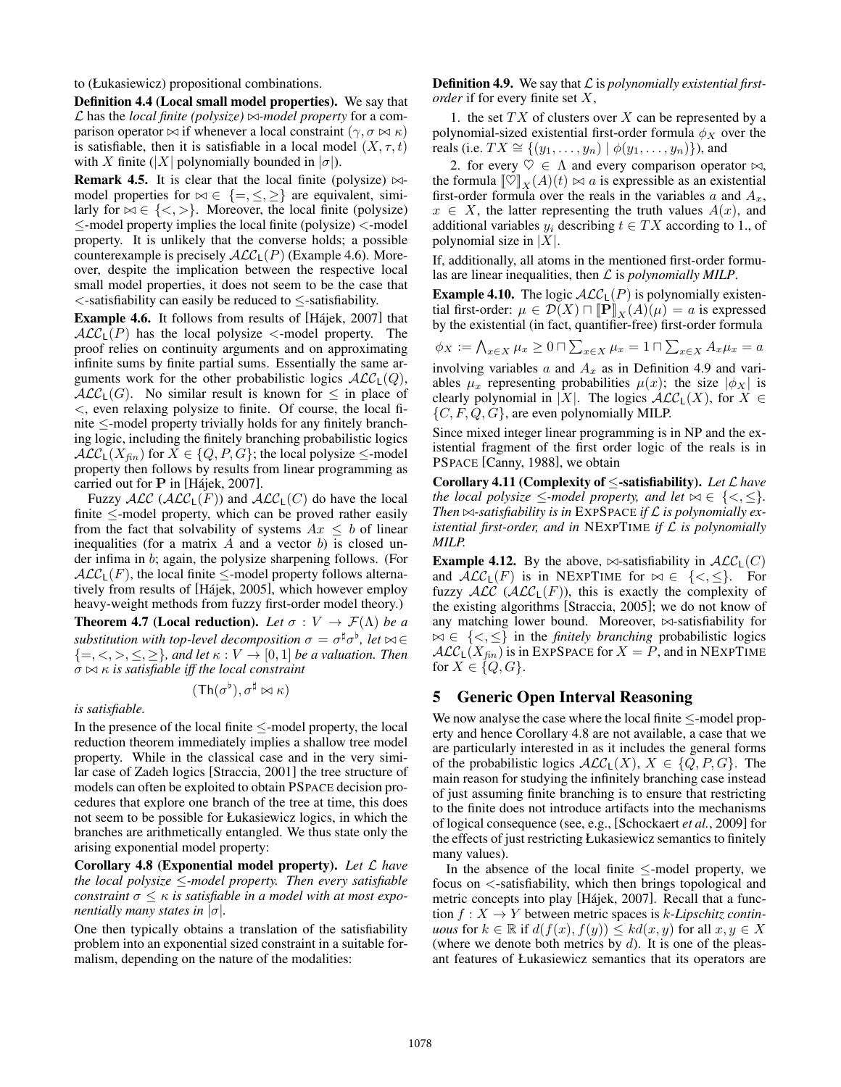to (Łukasiewicz) propositional combinations.

Definition 4.4 (Local small model properties). We say that  $\mathcal L$  has the *local finite (polysize)*  $\bowtie$ -model property for a comparison operator  $\bowtie$  if whenever a local constraint  $(\gamma, \sigma \bowtie \kappa)$ is satisfiable, then it is satisfiable in a local model  $(X, \tau, t)$ with X finite (|X| polynomially bounded in  $|\sigma|$ ).

**Remark 4.5.** It is clear that the local finite (polysize)  $\bowtie$ model properties for  $\bowtie \in \{ =, \leq, \geq \}$  are equivalent, similarly for  $\bowtie \in \{ \lt, \gt\}$ . Moreover, the local finite (polysize) <sup>≤</sup>-model property implies the local finite (polysize) <sup>&</sup>lt;-model property. It is unlikely that the converse holds; a possible counterexample is precisely  $ALC<sub>L</sub>(P)$  (Example 4.6). Moreover, despite the implication between the respective local small model properties, it does not seem to be the case that <sup>&</sup>lt;-satisfiability can easily be reduced to <sup>≤</sup>-satisfiability.

**Example 4.6.** It follows from results of [Hajek, 2007] that  $ALC<sub>L</sub>(P)$  has the local polysize  $\lt$ -model property. The proof relies on continuity arguments and on approximating infinite sums by finite partial sums. Essentially the same arguments work for the other probabilistic logics  $\mathcal{ALC}_{\mathsf{L}}(Q)$ ,  $ALC<sub>L</sub>(G)$ . No similar result is known for  $\leq$  in place of  $\lt$ , even relaxing polysize to finite. Of course, the local finite ≤-model property trivially holds for any finitely branching logic, including the finitely branching probabilistic logics  $ALC_{L}(X_{fin})$  for  $X \in \{Q, P, G\}$ ; the local polysize  $\leq$ -model property then follows by results from linear programming as carried out for  $P$  in [Hajek, 2007].

Fuzzy  $\cal{ALC}$  ( $\cal{ALC}_L(F)$ ) and  $\cal{ALC}_L(C)$  do have the local finite ≤-model property, which can be proved rather easily from the fact that solvability of systems  $Ax \leq b$  of linear inequalities (for a matrix  $A$  and a vector  $b$ ) is closed under infima in b; again, the polysize sharpening follows. (For  $ALC<sub>L</sub>(F)$ , the local finite  $\leq$ -model property follows alternatively from results of [Hájek, 2005], which however employ heavy-weight methods from fuzzy first-order model theory.)

**Theorem 4.7 (Local reduction).** Let  $\sigma : V \to \mathcal{F}(\Lambda)$  be a *substitution with top-level decomposition*  $\sigma = \sigma^{\sharp} \sigma^{\flat}$ , let  $\bowtie \in$  $\{=,<,>,\leq,\geq\}$ *, and let*  $\kappa: V \to [0,1]$  *be a valuation. Then*  $\sigma \bowtie \kappa$  *is satisfiable iff the local constraint* 

$$
(\mathsf{Th}(\sigma^\flat),\sigma^\sharp\bowtie\kappa)
$$

*is satisfiable.*

In the presence of the local finite  $\le$ -model property, the local reduction theorem immediately implies a shallow tree model property. While in the classical case and in the very similar case of Zadeh logics [Straccia, 2001] the tree structure of models can often be exploited to obtain PSPACE decision procedures that explore one branch of the tree at time, this does not seem to be possible for Łukasiewicz logics, in which the branches are arithmetically entangled. We thus state only the arising exponential model property:

Corollary 4.8 (Exponential model property). *Let* L *have the local polysize* ≤*-model property. Then every satisfiable constraint*  $\sigma \leq \kappa$  *is satisfiable in a model with at most exponentially many states in*  $|\sigma|$ *.* 

One then typically obtains a translation of the satisfiability problem into an exponential sized constraint in a suitable formalism, depending on the nature of the modalities:

Definition 4.9. We say that L is *polynomially existential firstorder* if for every finite set X,

1. the set  $TX$  of clusters over  $X$  can be represented by a polynomial-sized existential first-order formula  $\phi_X$  over the reals (i.e.  $TX \cong \{(y_1, ..., y_n) | \phi(y_1, ..., y_n)\}\)$ , and

2. for every  $\heartsuit \in \Lambda$  and every comparison operator  $\bowtie$ , the formula  $[\![\heartsuit]\!]_X(A)(t) \bowtie a$  is expressible as an existential first-order formula over the reals in the variables a and  $A_x$ ,  $x \in X$ , the latter representing the truth values  $A(x)$ , and additional variables  $y_i$  describing  $t \in TX$  according to 1., of polynomial size in  $|X|$ .

If, additionally, all atoms in the mentioned first-order formulas are linear inequalities, then L is *polynomially MILP*.

**Example 4.10.** The logic  $ALC<sub>L</sub>(P)$  is polynomially existential first-order:  $\mu \in \mathcal{D}(X) \cap [\![\mathbf{P}]\!]_X(A)(\mu) = a$  is expressed by the existential (in fact, quantifier-free) first-order formula

 $\phi_X := \bigwedge_{x \in X} \mu_x \ge 0 \cap \sum_{x \in X} \mu_x = 1 \cap \sum_{x \in X} A_x \mu_x = a$ involving variables  $a$  and  $A_x$  as in Definition 4.9 and variables  $\mu_x$  representing probabilities  $\mu(x)$ ; the size  $|\phi_X|$  is clearly polynomial in |X|. The logics  $\mathcal{ALC}_L(X)$ , for  $X \in$ 

 $\{C, F, Q, G\}$ , are even polynomially MILP. Since mixed integer linear programming is in NP and the existential fragment of the first order logic of the reals is in PSPACE [Canny, 1988], we obtain

Corollary 4.11 (Complexity of ≤-satisfiability). *Let* L *have the local polysize*  $\leq$ *-model property, and let*  $\bowtie \in \{<,\leq\}.$ *Then*  $\bowtie$ -satisfiability is in EXPSPACE if  $\mathcal L$  is polynomially ex*istential first-order, and in* NEXPTIME *if* L *is polynomially MILP.*

**Example 4.12.** By the above,  $\bowtie$ -satisfiability in  $ALC_1(C)$ and  $\mathcal{ALC}_L(F)$  is in NEXPTIME for  $\bowtie \in \{<,\leq\}$ . For fuzzy  $ALC$  ( $ALC<sub>L</sub>(F)$ ), this is exactly the complexity of the existing algorithms [Straccia, 2005]; we do not know of any matching lower bound. Moreover,  $\bowtie$ -satisfiability for ∈ {<, ≤} in the *finitely branching* probabilistic logics  $ALC_{L}(X_{fin})$  is in EXPSPACE for  $X = P$ , and in NEXPTIME for  $X \in \{Q, G\}$ .

## 5 Generic Open Interval Reasoning

We now analyse the case where the local finite ≤-model property and hence Corollary 4.8 are not available, a case that we are particularly interested in as it includes the general forms of the probabilistic logics  $\mathcal{ALC}_L(X)$ ,  $X \in \{Q, P, G\}$ . The main reason for studying the infinitely branching case instead of just assuming finite branching is to ensure that restricting to the finite does not introduce artifacts into the mechanisms of logical consequence (see, e.g., [Schockaert *et al.*, 2009] for the effects of just restricting Łukasiewicz semantics to finitely many values).

In the absence of the local finite  $\le$ -model property, we focus on <-satisfiability, which then brings topological and metric concepts into play [Hájek, 2007]. Recall that a function  $f: X \to Y$  between metric spaces is k-Lipschitz contin*uous* for  $k \in \mathbb{R}$  if  $d(f(x), f(y)) \leq kd(x, y)$  for all  $x, y \in X$ (where we denote both metrics by  $d$ ). It is one of the pleasant features of Łukasiewicz semantics that its operators are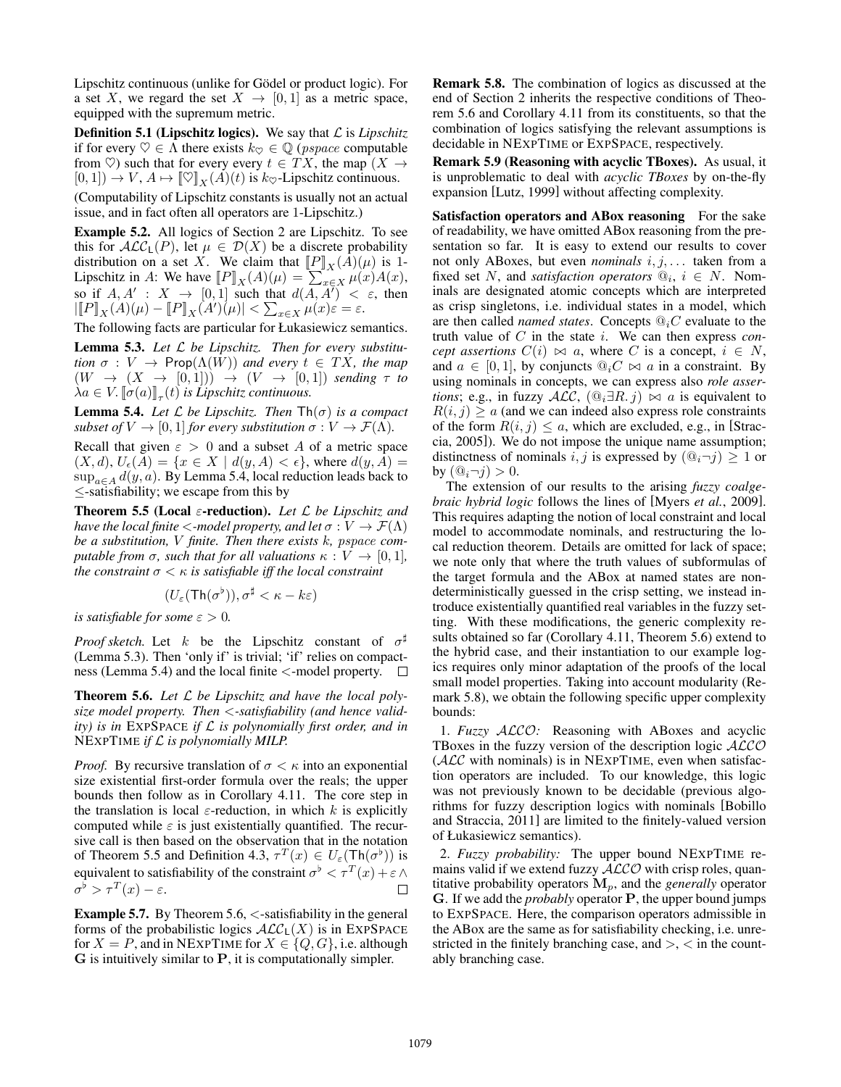Lipschitz continuous (unlike for Gödel or product logic). For a set X, we regard the set  $X \rightarrow [0, 1]$  as a metric space, equipped with the supremum metric.

**Definition 5.1 (Lipschitz logics).** We say that  $\mathcal{L}$  is *Lipschitz* if for every  $\heartsuit \in \Lambda$  there exists  $k_{\heartsuit} \in \mathbb{Q}$  (*pspace* computable from  $\heartsuit$ ) such that for every every  $t \in TX$ , the map  $(X \rightarrow$  $[0, 1]$   $\rightarrow$   $V$ ,  $A \mapsto [\![\heartsuit]\!]_X(A)(t)$  is  $k_{\heartsuit}$ -Lipschitz continuous.

(Computability of Lipschitz constants is usually not an actual issue, and in fact often all operators are 1-Lipschitz.)

Example 5.2. All logics of Section 2 are Lipschitz. To see this for  $ALC_{L}(P)$ , let  $\mu \in \mathcal{D}(X)$  be a discrete probability distribution on a set X. We claim that  $[\![P]\!]_X(A)(\mu)$  is 1-Lipschitz in A: We have  $[\![P]\!]_X(A)(\mu) = \sum_{x \in X}^{\infty} \mu(x)A(x)$ ,<br>so if  $A, A' : X \to [0,1]$  such that  $d(A, A') < \varepsilon$ , then  $\left\| [P]_X(A)(\mu) - [P]_X(A)(\mu) \right\| < \sum_{x \in X} \mu(x) \varepsilon = \varepsilon.$ 

The following facts are particular for Łukasiewicz semantics.

Lemma 5.3. *Let* L *be Lipschitz. Then for every substitution*  $\sigma : V \to \text{Prop}(\Lambda(W))$  *and every*  $t \in TX$ *, the map*  $(W \rightarrow (X \rightarrow [0,1])) \rightarrow (V \rightarrow [0,1])$  *sending*  $\tau$  *to*  $\lambda a \in V$ .  $\llbracket \sigma(a) \rrbracket_{\tau}(t)$  *is Lipschitz continuous.* 

**Lemma 5.4.** *Let*  $\mathcal L$  *be Lipschitz. Then*  $\text{Th}(\sigma)$  *is a compact subset of*  $V \to [0, 1]$  *for every substitution*  $\sigma : V \to \mathcal{F}(\Lambda)$ *.* 

Recall that given  $\varepsilon > 0$  and a subset A of a metric space  $(X, d), U_{\epsilon}(A) = \{x \in X \mid d(y, A) < \epsilon\}$ , where  $d(y, A) =$  $\sup_{a \in A} d(y, a)$ . By Lemma 5.4, local reduction leads back to ≤-satisfiability; we escape from this by

Theorem 5.5 (Local <sup>ε</sup>-reduction). *Let* <sup>L</sup> *be Lipschitz and have the local finite*  $\lt$ -model property, and let  $\sigma : V \to \mathcal{F}(\Lambda)$ *be a substitution,* V *finite. Then there exists* k*, pspace computable from*  $\sigma$ *, such that for all valuations*  $\kappa : V \to [0, 1]$ *, the constraint*  $\sigma < \kappa$  *is satisfiable iff the local constraint* 

$$
(U_{\varepsilon}(\mathsf{Th}(\sigma^{\flat})), \sigma^{\sharp} < \kappa - k\varepsilon)
$$

*is satisfiable for some*  $\varepsilon > 0$ *.* 

*Proof sketch.* Let k be the Lipschitz constant of  $\sigma^{\sharp}$ (Lemma 5.3). Then 'only if' is trivial; 'if' relies on compactness (Lemma 5.4) and the local finite <-model property.  $\Box$ 

Theorem 5.6. *Let* L *be Lipschitz and have the local polysize model property. Then* <*-satisfiability (and hence validity) is in* EXPSPACE *if* L *is polynomially first order, and in* NEXPTIME *if* L *is polynomially MILP.*

*Proof.* By recursive translation of  $\sigma < \kappa$  into an exponential size existential first-order formula over the reals; the upper bounds then follow as in Corollary 4.11. The core step in the translation is local  $\varepsilon$ -reduction, in which k is explicitly computed while  $\varepsilon$  is just existentially quantified. The recursive call is then based on the observation that in the notation of Theorem 5.5 and Definition 4.3,  $\tau^T(x) \in U_{\varepsilon}(\text{Th}(\sigma^{\flat}))$  is equivalent to satisfiability of the constraint  $\sigma^{\flat} < \tau^T(x) + \varepsilon \wedge \sigma^{\flat} > \tau^T(x) - \varepsilon$ .  $\sigma^{\flat} > \tau^{T}(x) - \varepsilon.$ 

**Example 5.7.** By Theorem 5.6,  $\lt$ -satisfiability in the general forms of the probabilistic logics  $\mathcal{ALC}_L(X)$  is in EXPSPACE for  $X = P$ , and in NEXPTIME for  $X \in \{Q, G\}$ , i.e. although **G** is intuitively similar to **P**, it is computationally simpler.

Remark 5.8. The combination of logics as discussed at the end of Section 2 inherits the respective conditions of Theorem 5.6 and Corollary 4.11 from its constituents, so that the combination of logics satisfying the relevant assumptions is decidable in NEXPTIME or EXPSPACE, respectively.

Remark 5.9 (Reasoning with acyclic TBoxes). As usual, it is unproblematic to deal with *acyclic TBoxes* by on-the-fly expansion [Lutz, 1999] without affecting complexity.

Satisfaction operators and ABox reasoning For the sake of readability, we have omitted ABox reasoning from the presentation so far. It is easy to extend our results to cover not only ABoxes, but even *nominals* i, j, . . . taken from a fixed set N, and *satisfaction operators*  $\mathcal{Q}_i$ ,  $i \in N$ . Nominals are designated atomic concepts which are interpreted as crisp singletons, i.e. individual states in a model, which are then called *named states*. Concepts  $\mathcal{Q}_i C$  evaluate to the truth value of C in the state i. We can then express *concept assertions*  $C(i) \bowtie a$ , where C is a concept,  $i \in N$ , and  $a \in [0, 1]$ , by conjuncts  $\mathbb{Q}_i C \bowtie a$  in a constraint. By using nominals in concepts, we can express also *role assertions*; e.g., in fuzzy  $\text{ALC}$ ,  $(\text{Q}_i \exists R. j) \bowtie a$  is equivalent to  $R(i, j) \ge a$  (and we can indeed also express role constraints of the form  $R(i, j) \leq a$ , which are excluded, e.g., in [Straccia, 2005]). We do not impose the unique name assumption; distinctness of nominals i, j is expressed by  $(\mathbb{Q}_i \neg j) \geq 1$  or by  $(\mathbb{Q}_i \neg j) > 0$ .

The extension of our results to the arising *fuzzy coalgebraic hybrid logic* follows the lines of [Myers *et al.*, 2009]. This requires adapting the notion of local constraint and local model to accommodate nominals, and restructuring the local reduction theorem. Details are omitted for lack of space; we note only that where the truth values of subformulas of the target formula and the ABox at named states are nondeterministically guessed in the crisp setting, we instead introduce existentially quantified real variables in the fuzzy setting. With these modifications, the generic complexity results obtained so far (Corollary 4.11, Theorem 5.6) extend to the hybrid case, and their instantiation to our example logics requires only minor adaptation of the proofs of the local small model properties. Taking into account modularity (Remark 5.8), we obtain the following specific upper complexity bounds:

1. *Fuzzy* ALCO*:* Reasoning with ABoxes and acyclic TBoxes in the fuzzy version of the description logic  $ALCO$  $(ALC$  with nominals) is in NEXPTIME, even when satisfaction operators are included. To our knowledge, this logic was not previously known to be decidable (previous algorithms for fuzzy description logics with nominals [Bobillo and Straccia, 2011] are limited to the finitely-valued version of Łukasiewicz semantics).

2. *Fuzzy probability:* The upper bound NEXPTIME remains valid if we extend fuzzy  $ALCO$  with crisp roles, quantitative probability operators  $M_p$ , and the *generally* operator **G**. If we add the *probably* operator **P**, the upper bound jumps to EXPSPACE. Here, the comparison operators admissible in the ABox are the same as for satisfiability checking, i.e. unrestricted in the finitely branching case, and  $>$ ,  $<$  in the countably branching case.